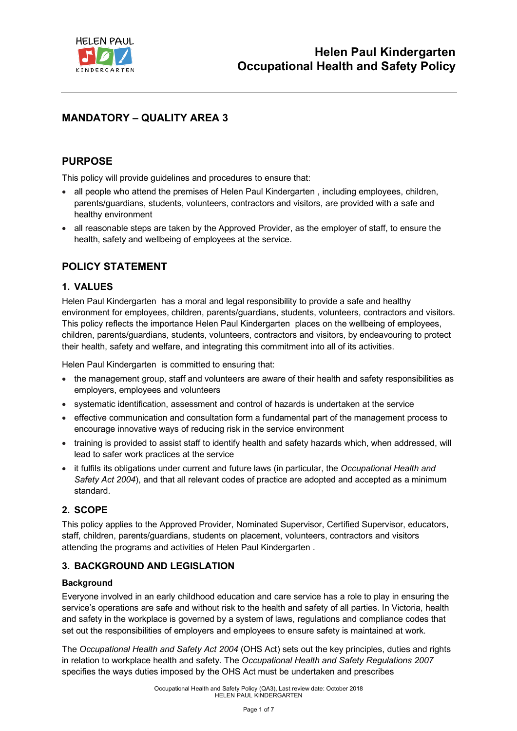

# **MANDATORY – QUALITY AREA 3**

## **PURPOSE**

This policy will provide guidelines and procedures to ensure that:

- all people who attend the premises of Helen Paul Kindergarten , including employees, children, parents/guardians, students, volunteers, contractors and visitors, are provided with a safe and healthy environment
- all reasonable steps are taken by the Approved Provider, as the employer of staff, to ensure the health, safety and wellbeing of employees at the service.

# **POLICY STATEMENT**

## **1. VALUES**

Helen Paul Kindergarten has a moral and legal responsibility to provide a safe and healthy environment for employees, children, parents/guardians, students, volunteers, contractors and visitors. This policy reflects the importance Helen Paul Kindergarten places on the wellbeing of employees, children, parents/guardians, students, volunteers, contractors and visitors, by endeavouring to protect their health, safety and welfare, and integrating this commitment into all of its activities.

Helen Paul Kindergarten is committed to ensuring that:

- the management group, staff and volunteers are aware of their health and safety responsibilities as employers, employees and volunteers
- systematic identification, assessment and control of hazards is undertaken at the service
- effective communication and consultation form a fundamental part of the management process to encourage innovative ways of reducing risk in the service environment
- training is provided to assist staff to identify health and safety hazards which, when addressed, will lead to safer work practices at the service
- it fulfils its obligations under current and future laws (in particular, the *Occupational Health and Safety Act 2004*), and that all relevant codes of practice are adopted and accepted as a minimum standard.

## **2. SCOPE**

This policy applies to the Approved Provider, Nominated Supervisor, Certified Supervisor, educators, staff, children, parents/guardians, students on placement, volunteers, contractors and visitors attending the programs and activities of Helen Paul Kindergarten .

## **3. BACKGROUND AND LEGISLATION**

#### **Background**

Everyone involved in an early childhood education and care service has a role to play in ensuring the service's operations are safe and without risk to the health and safety of all parties. In Victoria, health and safety in the workplace is governed by a system of laws, regulations and compliance codes that set out the responsibilities of employers and employees to ensure safety is maintained at work.

The *Occupational Health and Safety Act 2004* (OHS Act) sets out the key principles, duties and rights in relation to workplace health and safety. The *Occupational Health and Safety Regulations 2007* specifies the ways duties imposed by the OHS Act must be undertaken and prescribes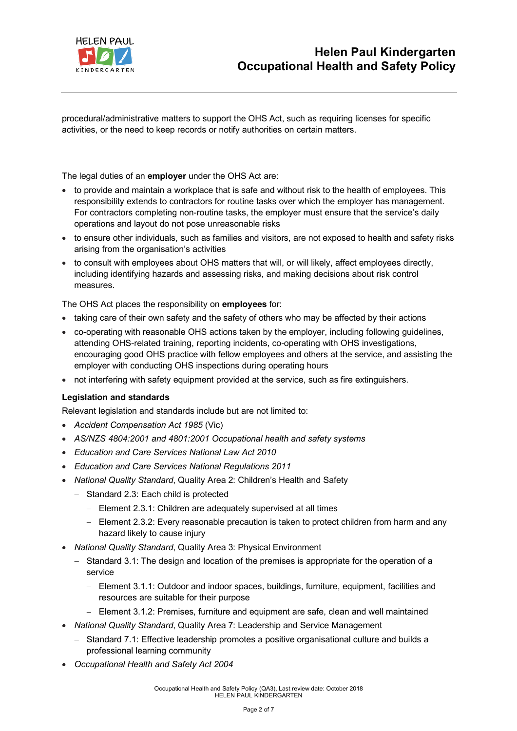

procedural/administrative matters to support the OHS Act, such as requiring licenses for specific activities, or the need to keep records or notify authorities on certain matters.

The legal duties of an **employer** under the OHS Act are:

- to provide and maintain a workplace that is safe and without risk to the health of employees. This responsibility extends to contractors for routine tasks over which the employer has management. For contractors completing non-routine tasks, the employer must ensure that the service's daily operations and layout do not pose unreasonable risks
- to ensure other individuals, such as families and visitors, are not exposed to health and safety risks arising from the organisation's activities
- to consult with employees about OHS matters that will, or will likely, affect employees directly, including identifying hazards and assessing risks, and making decisions about risk control measures.

The OHS Act places the responsibility on **employees** for:

- taking care of their own safety and the safety of others who may be affected by their actions
- co-operating with reasonable OHS actions taken by the employer, including following guidelines, attending OHS-related training, reporting incidents, co-operating with OHS investigations, encouraging good OHS practice with fellow employees and others at the service, and assisting the employer with conducting OHS inspections during operating hours
- not interfering with safety equipment provided at the service, such as fire extinguishers.

#### **Legislation and standards**

Relevant legislation and standards include but are not limited to:

- *Accident Compensation Act 1985* (Vic)
- *AS/NZS 4804:2001 and 4801:2001 Occupational health and safety systems*
- *Education and Care Services National Law Act 2010*
- *Education and Care Services National Regulations 2011*
- *National Quality Standard*, Quality Area 2: Children's Health and Safety
	- Standard 2.3: Each child is protected
		- Element 2.3.1: Children are adequately supervised at all times
		- Element 2.3.2: Every reasonable precaution is taken to protect children from harm and any hazard likely to cause injury
- *National Quality Standard*, Quality Area 3: Physical Environment
	- Standard 3.1: The design and location of the premises is appropriate for the operation of a service
		- Element 3.1.1: Outdoor and indoor spaces, buildings, furniture, equipment, facilities and resources are suitable for their purpose
		- Element 3.1.2: Premises, furniture and equipment are safe, clean and well maintained
- *National Quality Standard*, Quality Area 7: Leadership and Service Management
	- Standard 7.1: Effective leadership promotes a positive organisational culture and builds a professional learning community
- *Occupational Health and Safety Act 2004*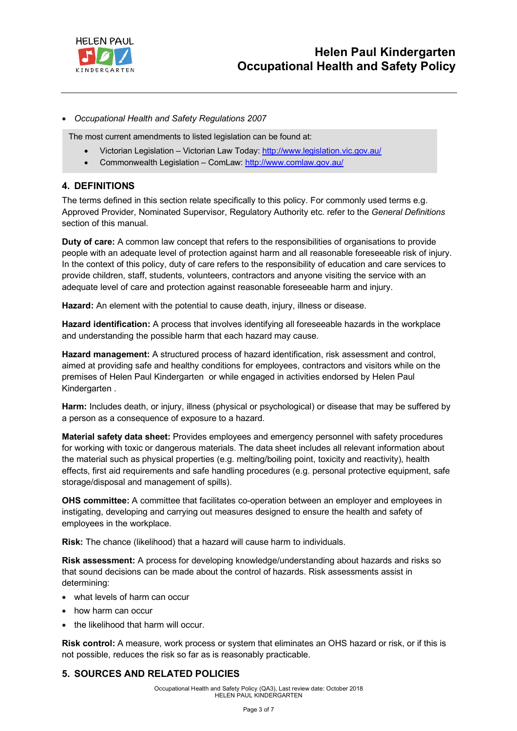

#### • *Occupational Health and Safety Regulations 2007*

The most current amendments to listed legislation can be found at:

- Victorian Legislation Victorian Law Today: http://www.legislation.vic.gov.au/
- Commonwealth Legislation ComLaw: http://www.comlaw.gov.au/

### **4. DEFINITIONS**

The terms defined in this section relate specifically to this policy. For commonly used terms e.g. Approved Provider, Nominated Supervisor, Regulatory Authority etc. refer to the *General Definitions* section of this manual.

**Duty of care:** A common law concept that refers to the responsibilities of organisations to provide people with an adequate level of protection against harm and all reasonable foreseeable risk of injury. In the context of this policy, duty of care refers to the responsibility of education and care services to provide children, staff, students, volunteers, contractors and anyone visiting the service with an adequate level of care and protection against reasonable foreseeable harm and injury.

**Hazard:** An element with the potential to cause death, injury, illness or disease.

**Hazard identification:** A process that involves identifying all foreseeable hazards in the workplace and understanding the possible harm that each hazard may cause.

**Hazard management:** A structured process of hazard identification, risk assessment and control, aimed at providing safe and healthy conditions for employees, contractors and visitors while on the premises of Helen Paul Kindergarten or while engaged in activities endorsed by Helen Paul Kindergarten .

**Harm:** Includes death, or injury, illness (physical or psychological) or disease that may be suffered by a person as a consequence of exposure to a hazard.

**Material safety data sheet:** Provides employees and emergency personnel with safety procedures for working with toxic or dangerous materials. The data sheet includes all relevant information about the material such as physical properties (e.g. melting/boiling point, toxicity and reactivity), health effects, first aid requirements and safe handling procedures (e.g. personal protective equipment, safe storage/disposal and management of spills).

**OHS committee:** A committee that facilitates co-operation between an employer and employees in instigating, developing and carrying out measures designed to ensure the health and safety of employees in the workplace.

**Risk:** The chance (likelihood) that a hazard will cause harm to individuals.

**Risk assessment:** A process for developing knowledge/understanding about hazards and risks so that sound decisions can be made about the control of hazards. Risk assessments assist in determining:

- what levels of harm can occur
- how harm can occur
- the likelihood that harm will occur.

**Risk control:** A measure, work process or system that eliminates an OHS hazard or risk, or if this is not possible, reduces the risk so far as is reasonably practicable.

## **5. SOURCES AND RELATED POLICIES**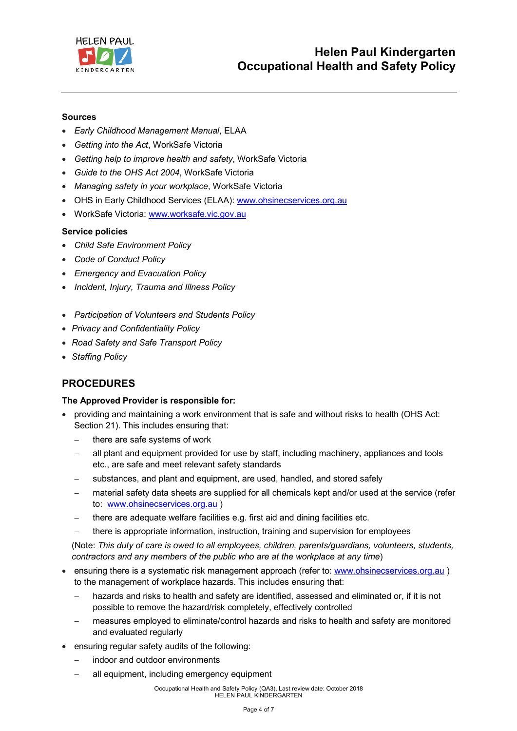

#### **Sources**

- *Early Childhood Management Manual*, ELAA
- *Getting into the Act*, WorkSafe Victoria
- *Getting help to improve health and safety*, WorkSafe Victoria
- *Guide to the OHS Act 2004*, WorkSafe Victoria
- *Managing safety in your workplace*, WorkSafe Victoria
- OHS in Early Childhood Services (ELAA): www.ohsinecservices.org.au
- WorkSafe Victoria: www.worksafe.vic.gov.au

#### **Service policies**

- *Child Safe Environment Policy*
- *Code of Conduct Policy*
- *Emergency and Evacuation Policy*
- *Incident, Injury, Trauma and Illness Policy*
- *Participation of Volunteers and Students Policy*
- *Privacy and Confidentiality Policy*
- *Road Safety and Safe Transport Policy*
- *Staffing Policy*

# **PROCEDURES**

#### **The Approved Provider is responsible for:**

- providing and maintaining a work environment that is safe and without risks to health (OHS Act: Section 21). This includes ensuring that:
	- there are safe systems of work
	- all plant and equipment provided for use by staff, including machinery, appliances and tools etc., are safe and meet relevant safety standards
	- substances, and plant and equipment, are used, handled, and stored safely
	- material safety data sheets are supplied for all chemicals kept and/or used at the service (refer to: www.ohsinecservices.org.au )
	- there are adequate welfare facilities e.g. first aid and dining facilities etc.
	- there is appropriate information, instruction, training and supervision for employees

(Note: *This duty of care is owed to all employees, children, parents/guardians, volunteers, students, contractors and any members of the public who are at the workplace at any time*)

- ensuring there is a systematic risk management approach (refer to: www.ohsinecservices.org.au) to the management of workplace hazards. This includes ensuring that:
	- hazards and risks to health and safety are identified, assessed and eliminated or, if it is not possible to remove the hazard/risk completely, effectively controlled
	- measures employed to eliminate/control hazards and risks to health and safety are monitored and evaluated regularly
- ensuring regular safety audits of the following:
	- indoor and outdoor environments
	- all equipment, including emergency equipment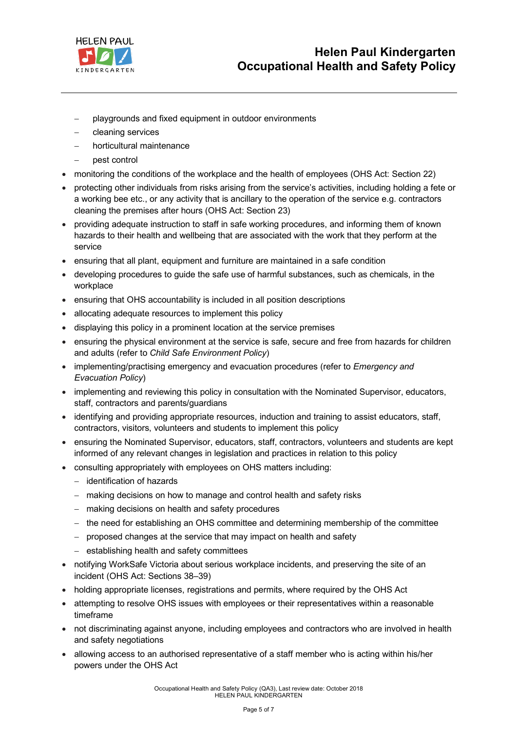

- playgrounds and fixed equipment in outdoor environments
- cleaning services
- horticultural maintenance
- pest control
- monitoring the conditions of the workplace and the health of employees (OHS Act: Section 22)
- protecting other individuals from risks arising from the service's activities, including holding a fete or a working bee etc., or any activity that is ancillary to the operation of the service e.g. contractors cleaning the premises after hours (OHS Act: Section 23)
- providing adequate instruction to staff in safe working procedures, and informing them of known hazards to their health and wellbeing that are associated with the work that they perform at the service
- ensuring that all plant, equipment and furniture are maintained in a safe condition
- developing procedures to guide the safe use of harmful substances, such as chemicals, in the workplace
- ensuring that OHS accountability is included in all position descriptions
- allocating adequate resources to implement this policy
- displaying this policy in a prominent location at the service premises
- ensuring the physical environment at the service is safe, secure and free from hazards for children and adults (refer to *Child Safe Environment Policy*)
- implementing/practising emergency and evacuation procedures (refer to *Emergency and Evacuation Policy*)
- implementing and reviewing this policy in consultation with the Nominated Supervisor, educators, staff, contractors and parents/guardians
- identifying and providing appropriate resources, induction and training to assist educators, staff, contractors, visitors, volunteers and students to implement this policy
- ensuring the Nominated Supervisor, educators, staff, contractors, volunteers and students are kept informed of any relevant changes in legislation and practices in relation to this policy
- consulting appropriately with employees on OHS matters including:
	- identification of hazards
	- making decisions on how to manage and control health and safety risks
	- making decisions on health and safety procedures
	- the need for establishing an OHS committee and determining membership of the committee
	- proposed changes at the service that may impact on health and safety
	- establishing health and safety committees
- notifying WorkSafe Victoria about serious workplace incidents, and preserving the site of an incident (OHS Act: Sections 38–39)
- holding appropriate licenses, registrations and permits, where required by the OHS Act
- attempting to resolve OHS issues with employees or their representatives within a reasonable timeframe
- not discriminating against anyone, including employees and contractors who are involved in health and safety negotiations
- allowing access to an authorised representative of a staff member who is acting within his/her powers under the OHS Act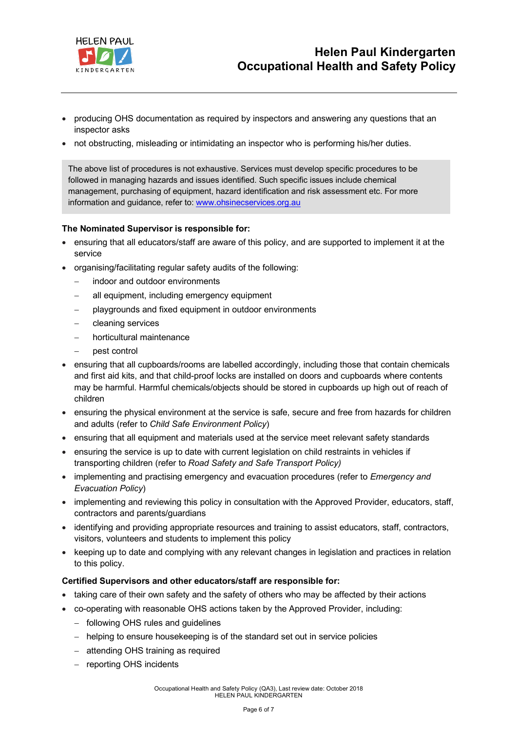

- producing OHS documentation as required by inspectors and answering any questions that an inspector asks
- not obstructing, misleading or intimidating an inspector who is performing his/her duties.

The above list of procedures is not exhaustive. Services must develop specific procedures to be followed in managing hazards and issues identified. Such specific issues include chemical management, purchasing of equipment, hazard identification and risk assessment etc. For more information and guidance, refer to: www.ohsinecservices.org.au

#### **The Nominated Supervisor is responsible for:**

- ensuring that all educators/staff are aware of this policy, and are supported to implement it at the service
- organising/facilitating regular safety audits of the following:
	- indoor and outdoor environments
	- all equipment, including emergency equipment
	- playgrounds and fixed equipment in outdoor environments
	- cleaning services
	- horticultural maintenance
	- pest control
- ensuring that all cupboards/rooms are labelled accordingly, including those that contain chemicals and first aid kits, and that child-proof locks are installed on doors and cupboards where contents may be harmful. Harmful chemicals/objects should be stored in cupboards up high out of reach of children
- ensuring the physical environment at the service is safe, secure and free from hazards for children and adults (refer to *Child Safe Environment Policy*)
- ensuring that all equipment and materials used at the service meet relevant safety standards
- ensuring the service is up to date with current legislation on child restraints in vehicles if transporting children (refer to *Road Safety and Safe Transport Policy)*
- implementing and practising emergency and evacuation procedures (refer to *Emergency and Evacuation Policy*)
- implementing and reviewing this policy in consultation with the Approved Provider, educators, staff, contractors and parents/guardians
- identifying and providing appropriate resources and training to assist educators, staff, contractors, visitors, volunteers and students to implement this policy
- keeping up to date and complying with any relevant changes in legislation and practices in relation to this policy.

#### **Certified Supervisors and other educators/staff are responsible for:**

- taking care of their own safety and the safety of others who may be affected by their actions
- co-operating with reasonable OHS actions taken by the Approved Provider, including:
	- following OHS rules and guidelines
	- helping to ensure housekeeping is of the standard set out in service policies
	- attending OHS training as required
	- reporting OHS incidents